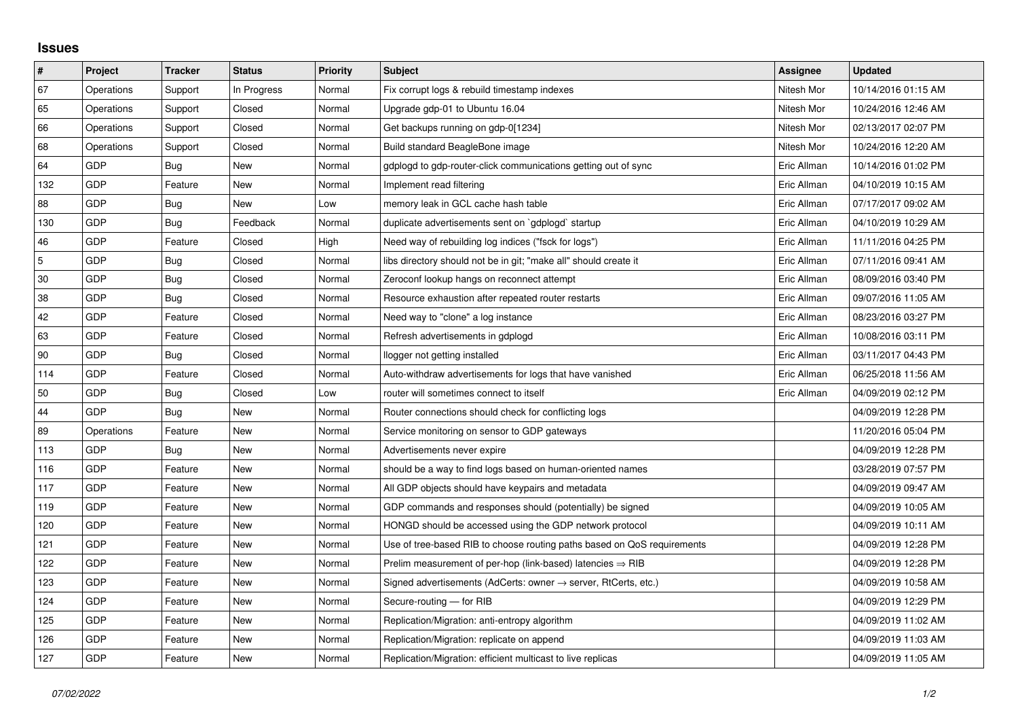## **Issues**

| $\vert$ #  | Project    | <b>Tracker</b> | <b>Status</b> | <b>Priority</b> | <b>Subject</b>                                                             | Assignee    | <b>Updated</b>      |
|------------|------------|----------------|---------------|-----------------|----------------------------------------------------------------------------|-------------|---------------------|
| 67         | Operations | Support        | In Progress   | Normal          | Fix corrupt logs & rebuild timestamp indexes                               | Nitesh Mor  | 10/14/2016 01:15 AM |
| 65         | Operations | Support        | Closed        | Normal          | Upgrade gdp-01 to Ubuntu 16.04                                             | Nitesh Mor  | 10/24/2016 12:46 AM |
| 66         | Operations | Support        | Closed        | Normal          | Get backups running on gdp-0[1234]                                         | Nitesh Mor  | 02/13/2017 02:07 PM |
| 68         | Operations | Support        | Closed        | Normal          | Build standard BeagleBone image                                            | Nitesh Mor  | 10/24/2016 12:20 AM |
| 64         | GDP        | Bug            | New           | Normal          | gdplogd to gdp-router-click communications getting out of sync             | Eric Allman | 10/14/2016 01:02 PM |
| 132        | GDP        | Feature        | New           | Normal          | Implement read filtering                                                   | Eric Allman | 04/10/2019 10:15 AM |
| 88         | <b>GDP</b> | Bug            | <b>New</b>    | Low             | memory leak in GCL cache hash table                                        | Eric Allman | 07/17/2017 09:02 AM |
| 130        | GDP        | Bug            | Feedback      | Normal          | duplicate advertisements sent on `gdplogd` startup                         | Eric Allman | 04/10/2019 10:29 AM |
| 46         | <b>GDP</b> | Feature        | Closed        | High            | Need way of rebuilding log indices ("fsck for logs")                       | Eric Allman | 11/11/2016 04:25 PM |
| $\sqrt{5}$ | <b>GDP</b> | Bug            | Closed        | Normal          | libs directory should not be in git; "make all" should create it           | Eric Allman | 07/11/2016 09:41 AM |
| $30\,$     | <b>GDP</b> | Bug            | Closed        | Normal          | Zeroconf lookup hangs on reconnect attempt                                 | Eric Allman | 08/09/2016 03:40 PM |
| 38         | <b>GDP</b> | Bug            | Closed        | Normal          | Resource exhaustion after repeated router restarts                         | Eric Allman | 09/07/2016 11:05 AM |
| 42         | <b>GDP</b> | Feature        | Closed        | Normal          | Need way to "clone" a log instance                                         | Eric Allman | 08/23/2016 03:27 PM |
| 63         | <b>GDP</b> | Feature        | Closed        | Normal          | Refresh advertisements in gdplogd                                          | Eric Allman | 10/08/2016 03:11 PM |
| 90         | <b>GDP</b> | Bug            | Closed        | Normal          | llogger not getting installed                                              | Eric Allman | 03/11/2017 04:43 PM |
| 114        | <b>GDP</b> | Feature        | Closed        | Normal          | Auto-withdraw advertisements for logs that have vanished                   | Eric Allman | 06/25/2018 11:56 AM |
| 50         | <b>GDP</b> | Bug            | Closed        | Low             | router will sometimes connect to itself                                    | Eric Allman | 04/09/2019 02:12 PM |
| 44         | <b>GDP</b> | Bug            | New           | Normal          | Router connections should check for conflicting logs                       |             | 04/09/2019 12:28 PM |
| 89         | Operations | Feature        | New           | Normal          | Service monitoring on sensor to GDP gateways                               |             | 11/20/2016 05:04 PM |
| 113        | GDP        | Bug            | New           | Normal          | Advertisements never expire                                                |             | 04/09/2019 12:28 PM |
| 116        | GDP        | Feature        | New           | Normal          | should be a way to find logs based on human-oriented names                 |             | 03/28/2019 07:57 PM |
| 117        | <b>GDP</b> | Feature        | <b>New</b>    | Normal          | All GDP objects should have keypairs and metadata                          |             | 04/09/2019 09:47 AM |
| 119        | <b>GDP</b> | Feature        | New           | Normal          | GDP commands and responses should (potentially) be signed                  |             | 04/09/2019 10:05 AM |
| 120        | <b>GDP</b> | Feature        | New           | Normal          | HONGD should be accessed using the GDP network protocol                    |             | 04/09/2019 10:11 AM |
| 121        | <b>GDP</b> | Feature        | <b>New</b>    | Normal          | Use of tree-based RIB to choose routing paths based on QoS requirements    |             | 04/09/2019 12:28 PM |
| 122        | GDP        | Feature        | New           | Normal          | Prelim measurement of per-hop (link-based) latencies $\Rightarrow$ RIB     |             | 04/09/2019 12:28 PM |
| 123        | <b>GDP</b> | Feature        | New           | Normal          | Signed advertisements (AdCerts: owner $\rightarrow$ server, RtCerts, etc.) |             | 04/09/2019 10:58 AM |
| 124        | GDP        | Feature        | New           | Normal          | Secure-routing - for RIB                                                   |             | 04/09/2019 12:29 PM |
| 125        | <b>GDP</b> | Feature        | New           | Normal          | Replication/Migration: anti-entropy algorithm                              |             | 04/09/2019 11:02 AM |
| 126        | GDP        | Feature        | New           | Normal          | Replication/Migration: replicate on append                                 |             | 04/09/2019 11:03 AM |
| 127        | GDP        | Feature        | <b>New</b>    | Normal          | Replication/Migration: efficient multicast to live replicas                |             | 04/09/2019 11:05 AM |